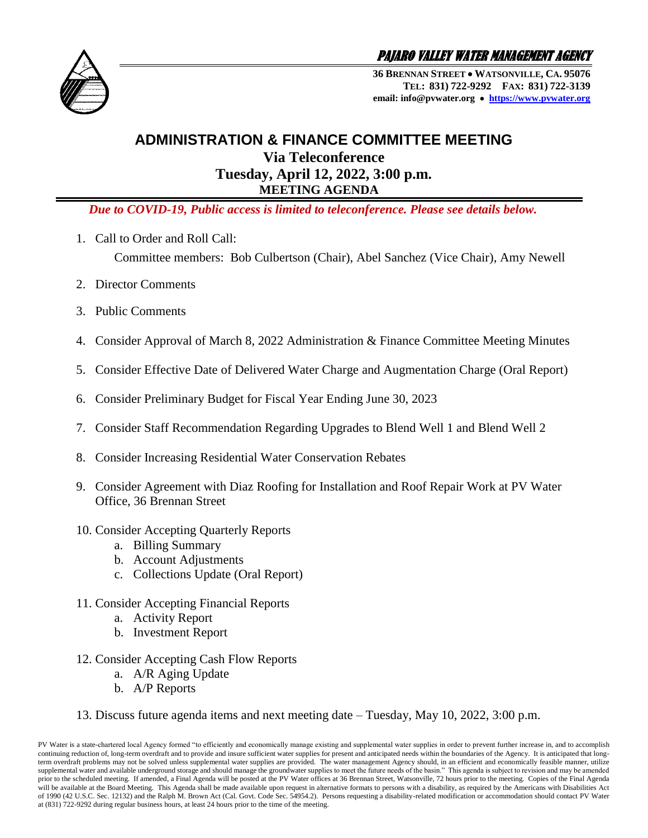

PAJARO VALLEY WATER MANAGEMENT AGENCY

**36 BRENNAN STREET WATSONVILLE, CA. 95076 TEL: 831) 722-9292 FAX: 831) 722-3139 email: info@pvwater.org [https://www.pvwater.org](https://www.pvwater.org/)**

## **ADMINISTRATION & FINANCE COMMITTEE MEETING**

**Via Teleconference Tuesday, April 12, 2022, 3:00 p.m. MEETING AGENDA**

 *Due to COVID-19, Public access is limited to teleconference. Please see details below.*

1. Call to Order and Roll Call:

Committee members: Bob Culbertson (Chair), Abel Sanchez (Vice Chair), Amy Newell

- 2. Director Comments
- 3. Public Comments
- 4. Consider Approval of March 8, 2022 Administration & Finance Committee Meeting Minutes
- 5. Consider Effective Date of Delivered Water Charge and Augmentation Charge (Oral Report)
- 6. Consider Preliminary Budget for Fiscal Year Ending June 30, 2023
- 7. Consider Staff Recommendation Regarding Upgrades to Blend Well 1 and Blend Well 2
- 8. Consider Increasing Residential Water Conservation Rebates
- 9. Consider Agreement with Diaz Roofing for Installation and Roof Repair Work at PV Water Office, 36 Brennan Street
- 10. Consider Accepting Quarterly Reports
	- a. Billing Summary
	- b. Account Adjustments
	- c. Collections Update (Oral Report)
- 11. Consider Accepting Financial Reports
	- a. Activity Report
	- b. Investment Report
- 12. Consider Accepting Cash Flow Reports
	- a. A/R Aging Update
	- b. A/P Reports
- 13. Discuss future agenda items and next meeting date Tuesday, May 10, 2022, 3:00 p.m.

PV Water is a state-chartered local Agency formed "to efficiently and economically manage existing and supplemental water supplies in order to prevent further increase in, and to accomplish continuing reduction of, long-term overdraft and to provide and insure sufficient water supplies for present and anticipated needs within the boundaries of the Agency. It is anticipated that longterm overdraft problems may not be solved unless supplemental water supplies are provided. The water management Agency should, in an efficient and economically feasible manner, utilize supplemental water and available underground storage and should manage the groundwater supplies to meet the future needs of the basin." This agenda is subject to revision and may be amended prior to the scheduled meeting. If amended, a Final Agenda will be posted at the PV Water offices at 36 Brennan Street, Watsonville, 72 hours prior to the meeting. Copies of the Final Agenda will be available at the Board Meeting. This Agenda shall be made available upon request in alternative formats to persons with a disability, as required by the Americans with Disabilities Act of 1990 (42 U.S.C. Sec. 12132) and the Ralph M. Brown Act (Cal. Govt. Code Sec. 54954.2). Persons requesting a disability-related modification or accommodation should contact PV Water at (831) 722-9292 during regular business hours, at least 24 hours prior to the time of the meeting.